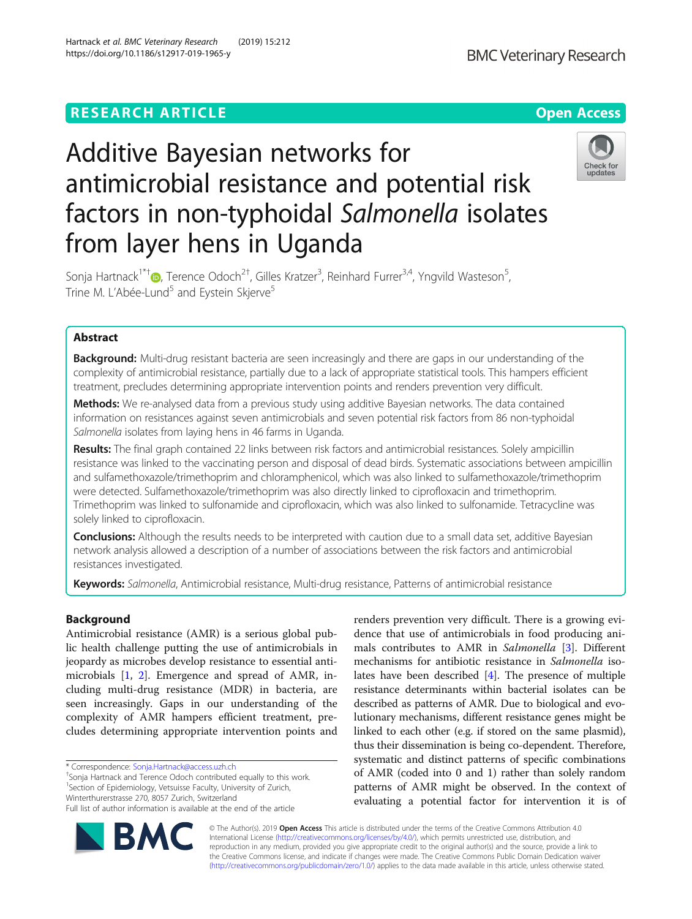## **RESEARCH ARTICLE Example 2018 12:30 The Contract of Contract Contract Open Access**

# Additive Bayesian networks for antimicrobial resistance and potential risk factors in non-typhoidal Salmonella isolates from layer hens in Uganda

Sonja Hartnack<sup>1\*†</sup>®[,](http://orcid.org/0000-0002-5757-5708) Terence Odoch<sup>2†</sup>, Gilles Kratzer<sup>3</sup>, Reinhard Furrer<sup>3,4</sup>, Yngvild Wasteson<sup>5</sup> , Trine M. L'Abée-Lund<sup>5</sup> and Eystein Skierve<sup>5</sup>

## Abstract

**Background:** Multi-drug resistant bacteria are seen increasingly and there are gaps in our understanding of the complexity of antimicrobial resistance, partially due to a lack of appropriate statistical tools. This hampers efficient treatment, precludes determining appropriate intervention points and renders prevention very difficult.

Methods: We re-analysed data from a previous study using additive Bayesian networks. The data contained information on resistances against seven antimicrobials and seven potential risk factors from 86 non-typhoidal Salmonella isolates from laying hens in 46 farms in Uganda.

Results: The final graph contained 22 links between risk factors and antimicrobial resistances. Solely ampicillin resistance was linked to the vaccinating person and disposal of dead birds. Systematic associations between ampicillin and sulfamethoxazole/trimethoprim and chloramphenicol, which was also linked to sulfamethoxazole/trimethoprim were detected. Sulfamethoxazole/trimethoprim was also directly linked to ciprofloxacin and trimethoprim. Trimethoprim was linked to sulfonamide and ciprofloxacin, which was also linked to sulfonamide. Tetracycline was solely linked to ciprofloxacin.

Conclusions: Although the results needs to be interpreted with caution due to a small data set, additive Bayesian network analysis allowed a description of a number of associations between the risk factors and antimicrobial resistances investigated.

Keywords: Salmonella, Antimicrobial resistance, Multi-drug resistance, Patterns of antimicrobial resistance

## Background

Antimicrobial resistance (AMR) is a serious global public health challenge putting the use of antimicrobials in jeopardy as microbes develop resistance to essential antimicrobials [\[1](#page-8-0), [2](#page-8-0)]. Emergence and spread of AMR, including multi-drug resistance (MDR) in bacteria, are seen increasingly. Gaps in our understanding of the complexity of AMR hampers efficient treatment, precludes determining appropriate intervention points and

\* Correspondence: [Sonja.Hartnack@access.uzh.ch](mailto:Sonja.Hartnack@access.uzh.ch) †

BM

<sup>+</sup>Sonja Hartnack and Terence Odoch contributed equally to this work. <sup>1</sup>Section of Epidemiology, Vetsuisse Faculty, University of Zurich, Winterthurerstrasse 270, 8057 Zurich, Switzerland

renders prevention very difficult. There is a growing evidence that use of antimicrobials in food producing animals contributes to AMR in Salmonella [[3\]](#page-8-0). Different mechanisms for antibiotic resistance in Salmonella isolates have been described [\[4\]](#page-8-0). The presence of multiple resistance determinants within bacterial isolates can be described as patterns of AMR. Due to biological and evolutionary mechanisms, different resistance genes might be linked to each other (e.g. if stored on the same plasmid), thus their dissemination is being co-dependent. Therefore, systematic and distinct patterns of specific combinations of AMR (coded into 0 and 1) rather than solely random patterns of AMR might be observed. In the context of evaluating a potential factor for intervention it is of

© The Author(s). 2019 Open Access This article is distributed under the terms of the Creative Commons Attribution 4.0 International License [\(http://creativecommons.org/licenses/by/4.0/](http://creativecommons.org/licenses/by/4.0/)), which permits unrestricted use, distribution, and reproduction in any medium, provided you give appropriate credit to the original author(s) and the source, provide a link to the Creative Commons license, and indicate if changes were made. The Creative Commons Public Domain Dedication waiver [\(http://creativecommons.org/publicdomain/zero/1.0/](http://creativecommons.org/publicdomain/zero/1.0/)) applies to the data made available in this article, unless otherwise stated.







Full list of author information is available at the end of the article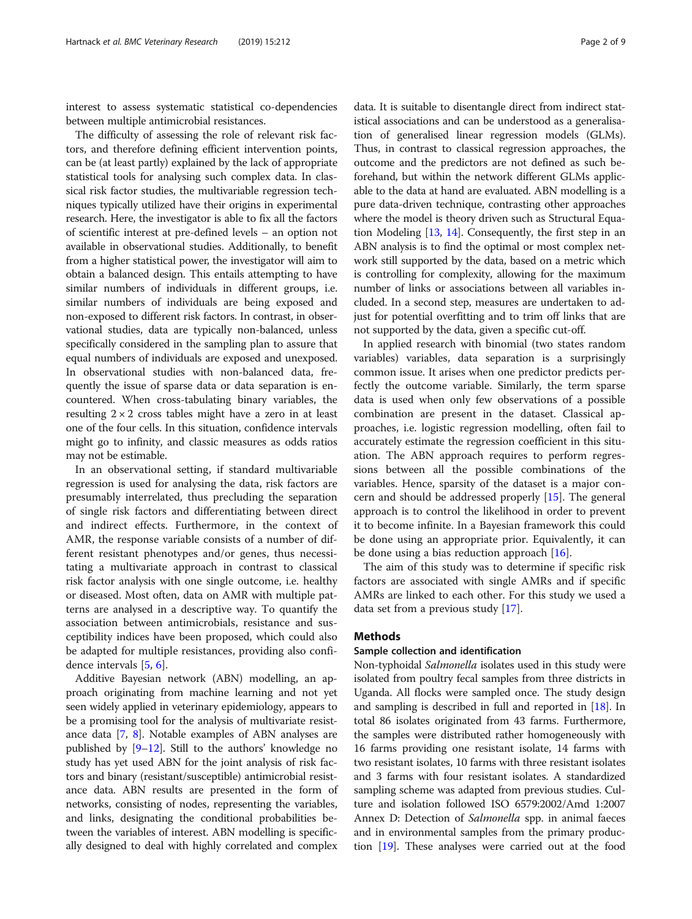interest to assess systematic statistical co-dependencies between multiple antimicrobial resistances.

The difficulty of assessing the role of relevant risk factors, and therefore defining efficient intervention points, can be (at least partly) explained by the lack of appropriate statistical tools for analysing such complex data. In classical risk factor studies, the multivariable regression techniques typically utilized have their origins in experimental research. Here, the investigator is able to fix all the factors of scientific interest at pre-defined levels – an option not available in observational studies. Additionally, to benefit from a higher statistical power, the investigator will aim to obtain a balanced design. This entails attempting to have similar numbers of individuals in different groups, i.e. similar numbers of individuals are being exposed and non-exposed to different risk factors. In contrast, in observational studies, data are typically non-balanced, unless specifically considered in the sampling plan to assure that equal numbers of individuals are exposed and unexposed. In observational studies with non-balanced data, frequently the issue of sparse data or data separation is encountered. When cross-tabulating binary variables, the resulting  $2 \times 2$  cross tables might have a zero in at least one of the four cells. In this situation, confidence intervals might go to infinity, and classic measures as odds ratios may not be estimable.

In an observational setting, if standard multivariable regression is used for analysing the data, risk factors are presumably interrelated, thus precluding the separation of single risk factors and differentiating between direct and indirect effects. Furthermore, in the context of AMR, the response variable consists of a number of different resistant phenotypes and/or genes, thus necessitating a multivariate approach in contrast to classical risk factor analysis with one single outcome, i.e. healthy or diseased. Most often, data on AMR with multiple patterns are analysed in a descriptive way. To quantify the association between antimicrobials, resistance and susceptibility indices have been proposed, which could also be adapted for multiple resistances, providing also confidence intervals [\[5](#page-8-0), [6](#page-8-0)].

Additive Bayesian network (ABN) modelling, an approach originating from machine learning and not yet seen widely applied in veterinary epidemiology, appears to be a promising tool for the analysis of multivariate resistance data [\[7](#page-8-0), [8](#page-8-0)]. Notable examples of ABN analyses are published by [[9](#page-8-0)–[12](#page-8-0)]. Still to the authors' knowledge no study has yet used ABN for the joint analysis of risk factors and binary (resistant/susceptible) antimicrobial resistance data. ABN results are presented in the form of networks, consisting of nodes, representing the variables, and links, designating the conditional probabilities between the variables of interest. ABN modelling is specifically designed to deal with highly correlated and complex

data. It is suitable to disentangle direct from indirect statistical associations and can be understood as a generalisation of generalised linear regression models (GLMs). Thus, in contrast to classical regression approaches, the outcome and the predictors are not defined as such be-

forehand, but within the network different GLMs applicable to the data at hand are evaluated. ABN modelling is a pure data-driven technique, contrasting other approaches where the model is theory driven such as Structural Equation Modeling [\[13,](#page-8-0) [14\]](#page-8-0). Consequently, the first step in an ABN analysis is to find the optimal or most complex network still supported by the data, based on a metric which is controlling for complexity, allowing for the maximum number of links or associations between all variables included. In a second step, measures are undertaken to adjust for potential overfitting and to trim off links that are not supported by the data, given a specific cut-off.

In applied research with binomial (two states random variables) variables, data separation is a surprisingly common issue. It arises when one predictor predicts perfectly the outcome variable. Similarly, the term sparse data is used when only few observations of a possible combination are present in the dataset. Classical approaches, i.e. logistic regression modelling, often fail to accurately estimate the regression coefficient in this situation. The ABN approach requires to perform regressions between all the possible combinations of the variables. Hence, sparsity of the dataset is a major concern and should be addressed properly [\[15](#page-8-0)]. The general approach is to control the likelihood in order to prevent it to become infinite. In a Bayesian framework this could be done using an appropriate prior. Equivalently, it can be done using a bias reduction approach  $[16]$  $[16]$ .

The aim of this study was to determine if specific risk factors are associated with single AMRs and if specific AMRs are linked to each other. For this study we used a data set from a previous study [[17\]](#page-8-0).

## Methods

## Sample collection and identification

Non-typhoidal Salmonella isolates used in this study were isolated from poultry fecal samples from three districts in Uganda. All flocks were sampled once. The study design and sampling is described in full and reported in [[18](#page-8-0)]. In total 86 isolates originated from 43 farms. Furthermore, the samples were distributed rather homogeneously with 16 farms providing one resistant isolate, 14 farms with two resistant isolates, 10 farms with three resistant isolates and 3 farms with four resistant isolates. A standardized sampling scheme was adapted from previous studies. Culture and isolation followed ISO 6579:2002/Amd 1:2007 Annex D: Detection of Salmonella spp. in animal faeces and in environmental samples from the primary production [[19](#page-8-0)]. These analyses were carried out at the food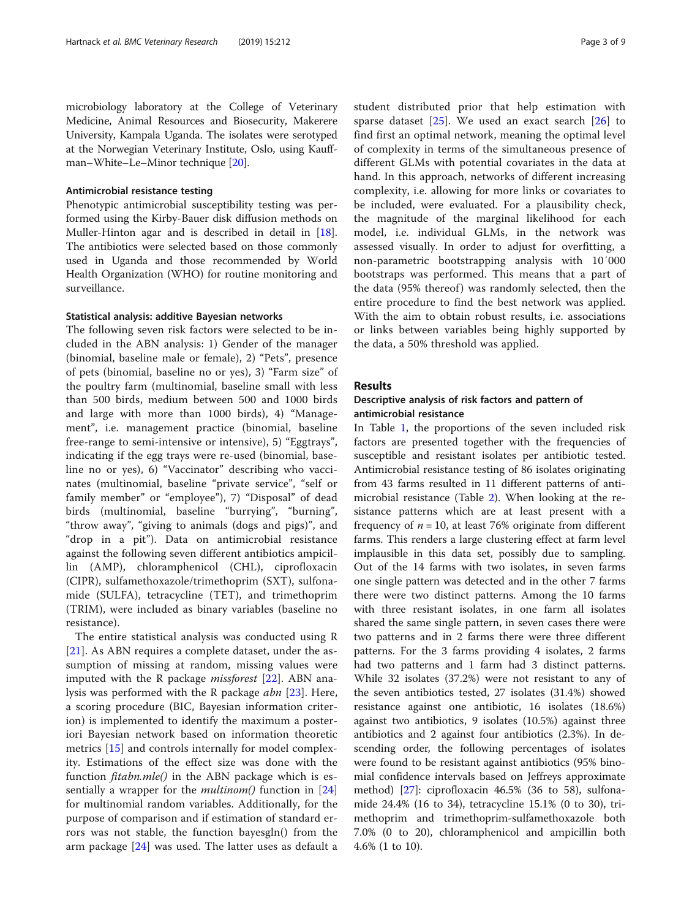microbiology laboratory at the College of Veterinary Medicine, Animal Resources and Biosecurity, Makerere University, Kampala Uganda. The isolates were serotyped at the Norwegian Veterinary Institute, Oslo, using Kauffman–White–Le–Minor technique [[20](#page-8-0)].

## Antimicrobial resistance testing

Phenotypic antimicrobial susceptibility testing was performed using the Kirby-Bauer disk diffusion methods on Muller-Hinton agar and is described in detail in [\[18](#page-8-0)]. The antibiotics were selected based on those commonly used in Uganda and those recommended by World Health Organization (WHO) for routine monitoring and surveillance.

## Statistical analysis: additive Bayesian networks

The following seven risk factors were selected to be included in the ABN analysis: 1) Gender of the manager (binomial, baseline male or female), 2) "Pets", presence of pets (binomial, baseline no or yes), 3) "Farm size" of the poultry farm (multinomial, baseline small with less than 500 birds, medium between 500 and 1000 birds and large with more than 1000 birds), 4) "Management", i.e. management practice (binomial, baseline free-range to semi-intensive or intensive), 5) "Eggtrays", indicating if the egg trays were re-used (binomial, baseline no or yes), 6) "Vaccinator" describing who vaccinates (multinomial, baseline "private service", "self or family member" or "employee"), 7) "Disposal" of dead birds (multinomial, baseline "burrying", "burning", "throw away", "giving to animals (dogs and pigs)", and "drop in a pit"). Data on antimicrobial resistance against the following seven different antibiotics ampicillin (AMP), chloramphenicol (CHL), ciprofloxacin (CIPR), sulfamethoxazole/trimethoprim (SXT), sulfonamide (SULFA), tetracycline (TET), and trimethoprim (TRIM), were included as binary variables (baseline no resistance).

The entire statistical analysis was conducted using R [[21\]](#page-8-0). As ABN requires a complete dataset, under the assumption of missing at random, missing values were imputed with the R package *missforest*  $[22]$  $[22]$ . ABN analysis was performed with the R package abn [\[23](#page-8-0)]. Here, a scoring procedure (BIC, Bayesian information criterion) is implemented to identify the maximum a posteriori Bayesian network based on information theoretic metrics [[15\]](#page-8-0) and controls internally for model complexity. Estimations of the effect size was done with the function  $\mathit{fitabn.mle}()$  in the ABN package which is essentially a wrapper for the *multinom*() function in  $[24]$  $[24]$ for multinomial random variables. Additionally, for the purpose of comparison and if estimation of standard errors was not stable, the function bayesgln() from the arm package [\[24](#page-8-0)] was used. The latter uses as default a student distributed prior that help estimation with sparse dataset  $[25]$  $[25]$ . We used an exact search  $[26]$  $[26]$  to find first an optimal network, meaning the optimal level of complexity in terms of the simultaneous presence of different GLMs with potential covariates in the data at hand. In this approach, networks of different increasing complexity, i.e. allowing for more links or covariates to be included, were evaluated. For a plausibility check, the magnitude of the marginal likelihood for each model, i.e. individual GLMs, in the network was assessed visually. In order to adjust for overfitting, a non-parametric bootstrapping analysis with 10′000 bootstraps was performed. This means that a part of the data (95% thereof) was randomly selected, then the entire procedure to find the best network was applied. With the aim to obtain robust results, i.e. associations or links between variables being highly supported by the data, a 50% threshold was applied.

## Results

## Descriptive analysis of risk factors and pattern of antimicrobial resistance

In Table [1,](#page-3-0) the proportions of the seven included risk factors are presented together with the frequencies of susceptible and resistant isolates per antibiotic tested. Antimicrobial resistance testing of 86 isolates originating from 43 farms resulted in 11 different patterns of antimicrobial resistance (Table [2\)](#page-4-0). When looking at the resistance patterns which are at least present with a frequency of  $n = 10$ , at least 76% originate from different farms. This renders a large clustering effect at farm level implausible in this data set, possibly due to sampling. Out of the 14 farms with two isolates, in seven farms one single pattern was detected and in the other 7 farms there were two distinct patterns. Among the 10 farms with three resistant isolates, in one farm all isolates shared the same single pattern, in seven cases there were two patterns and in 2 farms there were three different patterns. For the 3 farms providing 4 isolates, 2 farms had two patterns and 1 farm had 3 distinct patterns. While 32 isolates (37.2%) were not resistant to any of the seven antibiotics tested, 27 isolates (31.4%) showed resistance against one antibiotic, 16 isolates (18.6%) against two antibiotics, 9 isolates (10.5%) against three antibiotics and 2 against four antibiotics (2.3%). In descending order, the following percentages of isolates were found to be resistant against antibiotics (95% binomial confidence intervals based on Jeffreys approximate method) [\[27](#page-8-0)]: ciprofloxacin 46.5% (36 to 58), sulfonamide 24.4% (16 to 34), tetracycline 15.1% (0 to 30), trimethoprim and trimethoprim-sulfamethoxazole both 7.0% (0 to 20), chloramphenicol and ampicillin both 4.6% (1 to 10).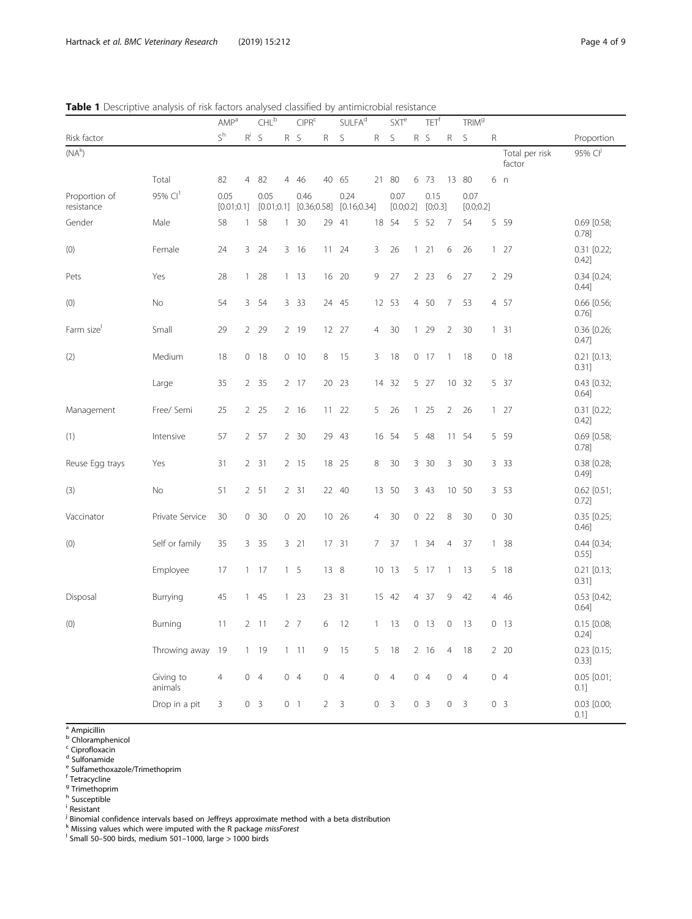0.1]

|                             |                      | <b>AMP</b> <sup>a</sup> |                | CHL <sup>b</sup> |              | CIPR <sup>c</sup>                  |              | SULER <sup>d</sup>   |              | SXTe              |  | TET <sup>t</sup> |                | TRIM <sup>9</sup> |                |                          |                          |  |
|-----------------------------|----------------------|-------------------------|----------------|------------------|--------------|------------------------------------|--------------|----------------------|--------------|-------------------|--|------------------|----------------|-------------------|----------------|--------------------------|--------------------------|--|
| Risk factor                 |                      | $S^h$                   | $R^i$          | $\mathsf{S}$     |              | R S                                | $\mathsf{R}$ | $\mathsf S$          | R            | $\mathsf S$       |  | R S              | $\mathsf{R}$   | $\mathsf S$       | $\mathsf{R}$   |                          | Proportion               |  |
| $(NA^k)$                    |                      |                         |                |                  |              |                                    |              |                      |              |                   |  |                  |                |                   |                | Total per risk<br>factor | 95% CP                   |  |
|                             | Total                | 82                      | 4              | -82              | 4            | 46                                 | 40           | 65                   | 21           | -80               |  | 6 73             |                | 13 80             |                | 6 n                      |                          |  |
| Proportion of<br>resistance | 95% $Cl1$            | 0.05<br>[0.01;0.1]      |                | 0.05             |              | 0.46<br>$[0.01;0.1]$ $[0.36;0.58]$ |              | 0.24<br>[0.16; 0.34] |              | 0.07<br>[0.0;0.2] |  | 0.15<br>[0;0.3]  |                | 0.07<br>[0.0;0.2] |                |                          |                          |  |
| Gender                      | Male                 | 58                      |                | 1 58             |              | $1 \, 30$                          | 29           | -41                  |              | 18 54             |  | 5 52             | 7              | 54                |                | 5 5 9                    | 0.69 [0.58;<br>0.78]     |  |
| (0)                         | Female               | 24                      |                | 3 24             |              | 3 16                               | 11           | 24                   | 3            | 26                |  | $1 \quad 21$     | 6              | 26                | $\mathbf{1}$   | 27                       | $0.31$ $[0.22;$<br>0.42] |  |
| Pets                        | Yes                  | 28                      | $\mathbf{1}$   | 28               | $\mathbf{1}$ | 13                                 | 16           | 20                   | 9            | 27                |  | $2 \t23$         | 6              | 27                |                | 2 2 9                    | $0.34$ [0.24;<br>0.44]   |  |
| (0)                         | <b>No</b>            | 54                      |                | 3 54             |              | 3 3 3                              |              | 24 45                |              | 12 53             |  | 4 50             | $\overline{7}$ | 53                |                | 4 57                     | 0.66 [0.56;<br>$0.76$ ]  |  |
| Farm size                   | Small                | 29                      |                | 2 2 9            |              | 2 19                               |              | 12 27                | 4            | 30                |  | 129              | $\overline{2}$ | 30                | $\mathbf{1}$   | 31                       | $0.36$ $[0.26;$<br>0.47] |  |
| (2)                         | Medium               | 18                      |                | 0 18             |              | 0 10                               | 8            | 15                   | 3            | 18                |  | $0$ 17           | $\mathbf{1}$   | 18                |                | $0$ 18                   | $0.21$ $[0.13;$<br>0.31] |  |
|                             | Large                | 35                      |                | 2 35             |              | 2 17                               | 20           | 23                   | 14           | 32                |  | 5 27             |                | 10 32             |                | 5 37                     | 0.43 [0.32;<br>0.64]     |  |
| Management                  | Free/ Semi           | 25                      |                | $2 \quad 25$     |              | 2 16                               | 11           | 22                   | 5            | 26                |  | 125              | 2              | 26                |                | $1 \t27$                 | $0.31$ $[0.22;$<br>0.42] |  |
| (1)                         | Intensive            | 57                      |                | 2 57             |              | 2 30                               |              | 29 43                |              | 16 54             |  | 5 48             |                | 11 54             |                | 5 5 9                    | 0.69 [0.58;<br>0.78]     |  |
| Reuse Egg trays             | Yes                  | 31                      | $\overline{2}$ | 31               |              | $2 \t15$                           | 18           | 25                   | 8            | 30                |  | 3 30             | 3              | 30                |                | 3 3 3                    | $0.38$ $[0.28]$<br>0.49] |  |
| (3)                         | No                   | 51                      |                | 2, 51            |              | 2 31                               |              | 22 40                | 13           | 50                |  | 3 43             |                | 10 50             |                | 3 53                     | $0.62$ [0.51;<br>0.72]   |  |
| Vaccinator                  | Private Service      | 30                      |                | 0 30             |              | 0 20                               |              | 10 26                | 4            | 30                |  | 022              | 8              | 30                |                | 0.30                     | $0.35$ $[0.25;$<br>0.46] |  |
| (0)                         | Self or family       | 35                      | 3              | 35               |              | $3 \quad 21$                       | 17           | 31                   | 7            | 37                |  | $1 \quad 34$     | $\overline{4}$ | 37                | $\mathbf{1}$   | 38                       | $0.44$ $[0.34;$<br>0.55] |  |
|                             | Employee             | 17                      |                | $1 \t17$         |              | 1 <sub>5</sub>                     | 13 8         |                      |              | 10 13             |  | 5 17             | $\mathbf{1}$   | 13                |                | 5 18                     | $0.21$ $[0.13;$<br>0.31] |  |
| Disposal                    | Burrying             | 45                      |                | 145              |              | $1 \t23$                           |              | 23 31                |              | 15 42             |  | 4 37             | 9              | 42                | $\overline{4}$ | 46                       | $0.53$ [0.42;<br>0.64]   |  |
| (0)                         | Burning              | 11                      | $\overline{2}$ | 11               |              | $2 \overline{7}$                   | 6            | 12                   | $\mathbf{1}$ | 13                |  | 0 <sub>13</sub>  | $\mathbf 0$    | 13                |                | 0 <sub>13</sub>          | $0.15$ [0.08;<br>0.24]   |  |
|                             | Throwing away        | 19                      |                | $1 \t19$         |              | $1 \quad 11$                       | 9            | 15                   | 5            | 18                |  | 2 16             | $\overline{4}$ | 18                |                | 2 20                     | $0.23$ [0.15;<br>0.33]   |  |
|                             | Giving to<br>animals | 4                       |                | 0 <sub>4</sub>   |              | 04                                 | 0            | $\overline{4}$       | 0            | $\overline{4}$    |  | 04               | 0              | $\overline{4}$    |                | 04                       | $0.05$ $[0.01;$<br>0.1]  |  |
|                             | Drop in a pit        | 3                       |                | 0 <sup>3</sup>   |              | 0 <sub>1</sub>                     | 2            | 3                    | $\mathbf 0$  | 3                 |  | 0 <sup>3</sup>   | $\overline{0}$ | 3                 |                | 0 <sub>3</sub>           | $0.03$ $[0.00;$          |  |

<span id="page-3-0"></span>

<sup>a</sup> Ampicillin

**b** Chloramphenicol

<sup>c</sup> Ciprofloxacin

<sup>d</sup> Sulfonamide

<sup>e</sup> Sulfamethoxazole/Trimethoprim

<sup>f</sup> Tetracycline

<sup>g</sup> Trimethoprim

<sup>h</sup> Susceptible

i Resistant

<sup>j</sup> Binomial confidence intervals based on Jeffreys approximate method with a beta distribution<br><sup>k</sup> Missing values which were imputed with the R package *missForest*<br><sup>1</sup> Small 50–500 birds, medium 501–1000, large > 1000 bi

Small 50–500 birds, medium 501–1000, large > 1000 birds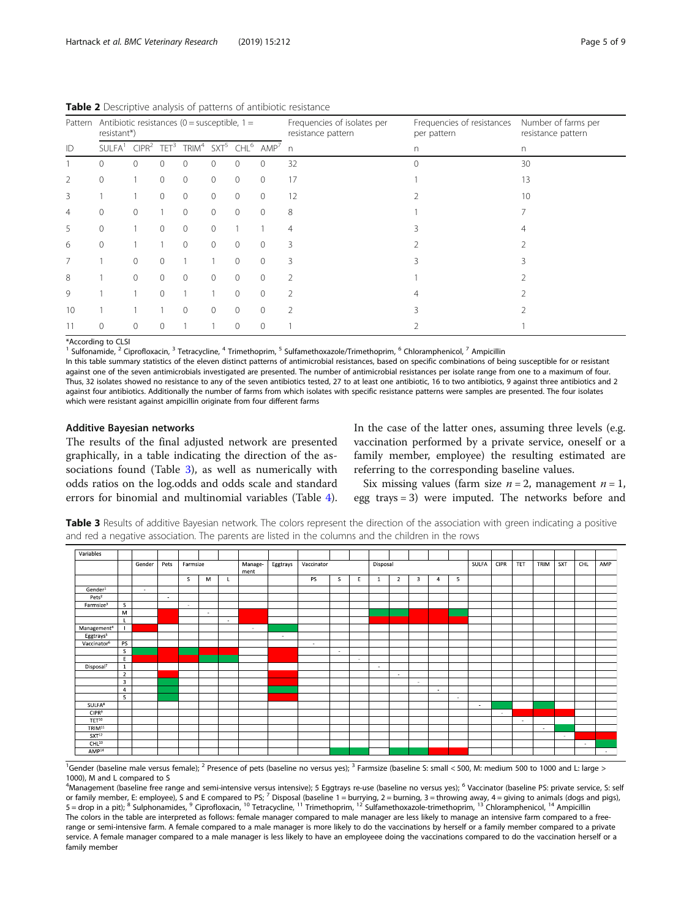| Pattern        | Antibiotic resistances ( $0 =$ susceptible, $1 =$<br>resistant*)                                                             |              |          |          |          |          |                | Frequencies of isolates per<br>resistance pattern | Frequencies of resistances<br>per pattern | Number of farms per<br>resistance pattern |  |  |
|----------------|------------------------------------------------------------------------------------------------------------------------------|--------------|----------|----------|----------|----------|----------------|---------------------------------------------------|-------------------------------------------|-------------------------------------------|--|--|
| ID             | SULFA <sup>1</sup> CIPR <sup>2</sup> TET <sup>3</sup> TRIM <sup>4</sup> SXT <sup>5</sup> CHL <sup>6</sup> AMP <sup>7</sup> n |              |          |          |          |          |                |                                                   | n                                         | n.                                        |  |  |
|                | $\Omega$                                                                                                                     | $\Omega$     | $\Omega$ | 0        | $\Omega$ | $\Omega$ | 0              | 32                                                | $\cap$                                    | 30                                        |  |  |
| $\overline{2}$ | 0                                                                                                                            |              | $\Omega$ | $\circ$  | $\Omega$ | $\Omega$ | $\overline{0}$ | 17                                                |                                           | 13                                        |  |  |
| 3              |                                                                                                                              |              | $\Omega$ | 0        | $\Omega$ | $\Omega$ | $\overline{0}$ | 12                                                |                                           | 10                                        |  |  |
| $\overline{4}$ | 0                                                                                                                            | $\mathbf{0}$ |          | 0        | $\Omega$ | $\Omega$ | $\circ$        | 8                                                 |                                           |                                           |  |  |
| 5              | 0                                                                                                                            |              | $\Omega$ | $\circ$  | $\Omega$ |          |                | 4                                                 |                                           |                                           |  |  |
| 6              | $\Omega$                                                                                                                     |              |          | 0        | $\Omega$ | $\Omega$ | $\Omega$       | 3                                                 |                                           |                                           |  |  |
| 7              |                                                                                                                              | $\Omega$     | $\Omega$ |          |          | $\Omega$ | $\Omega$       | 3                                                 |                                           |                                           |  |  |
| 8              |                                                                                                                              | $\mathbf{0}$ | $\Omega$ | $\circ$  | $\Omega$ | $\Omega$ | $\mathbf{0}$   | 2                                                 |                                           |                                           |  |  |
| 9              |                                                                                                                              |              | $\Omega$ |          |          | $\Omega$ | $\mathbf{0}$   | 2                                                 |                                           |                                           |  |  |
| 10             |                                                                                                                              |              |          | $\Omega$ |          | $\Omega$ | $\Omega$       | $\mathfrak{D}$                                    |                                           |                                           |  |  |
| 11             |                                                                                                                              | $\Omega$     | $\Omega$ |          |          | $\Omega$ | $\Omega$       |                                                   |                                           |                                           |  |  |

<span id="page-4-0"></span>Table 2 Descriptive analysis of patterns of antibiotic resistance

\*According to CLSI

<sup>1</sup> Sulfonamide, <sup>2</sup> Ciprofloxacin, <sup>3</sup> Tetracycline, <sup>4</sup> Trimethoprim, <sup>5</sup> Sulfamethoxazole/Trimethoprim, <sup>6</sup> Chloramphenicol, <sup>7</sup> Ampicillin

In this table summary statistics of the eleven distinct patterns of antimicrobial resistances, based on specific combinations of being susceptible for or resistant against one of the seven antimicrobials investigated are presented. The number of antimicrobial resistances per isolate range from one to a maximum of four. Thus, 32 isolates showed no resistance to any of the seven antibiotics tested, 27 to at least one antibiotic, 16 to two antibiotics, 9 against three antibiotics and 2 against four antibiotics. Additionally the number of farms from which isolates with specific resistance patterns were samples are presented. The four isolates which were resistant against ampicillin originate from four different farms

## Additive Bayesian networks

The results of the final adjusted network are presented graphically, in a table indicating the direction of the associations found (Table 3), as well as numerically with odds ratios on the log.odds and odds scale and standard errors for binomial and multinomial variables (Table [4](#page-5-0)).

In the case of the latter ones, assuming three levels (e.g. vaccination performed by a private service, oneself or a family member, employee) the resulting estimated are referring to the corresponding baseline values.

Six missing values (farm size  $n = 2$ , management  $n = 1$ , egg trays = 3) were imputed. The networks before and

Table 3 Results of additive Bayesian network. The colors represent the direction of the association with green indicating a positive and red a negative association. The parents are listed in the columns and the children in the rows

| Variables               |                         |        |        |        |          |        |        |        |        |        |                 |          |                |                         |                |          |        |        |        |        |        |             |        |      |     |     |     |
|-------------------------|-------------------------|--------|--------|--------|----------|--------|--------|--------|--------|--------|-----------------|----------|----------------|-------------------------|----------------|----------|--------|--------|--------|--------|--------|-------------|--------|------|-----|-----|-----|
|                         |                         | Gender | Pets   |        | Farmsize |        |        |        |        |        | Manage-<br>ment | Eggtrays | Vaccinator     |                         |                | Disposal |        |        |        |        | SULFA  | <b>CIPR</b> | TET    | TRIM | SXT | CHL | AMP |
|                         |                         |        |        | s.     | м        |        |        |        | PS     | -S     | E               | 1        | $\overline{2}$ | $\overline{\mathbf{3}}$ | $\overline{a}$ | 5        |        |        |        |        |        |             |        |      |     |     |     |
| Gender <sup>1</sup>     |                         | $\sim$ |        |        |          |        |        |        |        |        |                 |          |                |                         |                |          |        |        |        |        |        |             |        |      |     |     |     |
| Pets <sup>2</sup>       |                         |        | $\sim$ |        |          |        |        |        |        |        |                 |          |                |                         |                |          |        |        |        |        |        |             |        |      |     |     |     |
| Farmsize <sup>3</sup>   | <sub>S</sub>            |        |        | $\sim$ |          |        |        |        |        |        |                 |          |                |                         |                |          |        |        |        |        |        |             |        |      |     |     |     |
|                         | M                       |        |        |        | $\sim$   |        |        |        |        |        |                 |          |                |                         |                |          |        |        |        |        |        |             |        |      |     |     |     |
|                         | L.                      |        |        |        |          | $\sim$ |        |        |        |        |                 |          |                |                         |                |          |        |        |        |        |        |             |        |      |     |     |     |
| Management <sup>4</sup> |                         |        |        |        |          |        | $\sim$ |        |        |        |                 |          |                |                         |                |          |        |        |        |        |        |             |        |      |     |     |     |
| Eggtrays <sup>5</sup>   |                         |        |        |        |          |        |        | $\sim$ |        |        |                 |          |                |                         |                |          |        |        |        |        |        |             |        |      |     |     |     |
| Vaccinator <sup>6</sup> | PS                      |        |        |        |          |        |        |        | $\sim$ |        |                 |          |                |                         |                |          |        |        |        |        |        |             |        |      |     |     |     |
|                         | <sub>S</sub>            |        |        |        |          |        |        |        |        | $\sim$ |                 |          |                |                         |                |          |        |        |        |        |        |             |        |      |     |     |     |
|                         | E                       |        |        |        |          |        |        |        |        |        | ٠.              |          |                |                         |                |          |        |        |        |        |        |             |        |      |     |     |     |
| Disposal <sup>7</sup>   | $\mathbf{1}$            |        |        |        |          |        |        |        |        |        |                 | $\sim$   |                |                         |                |          |        |        |        |        |        |             |        |      |     |     |     |
|                         | $\overline{2}$          |        |        |        |          |        |        |        |        |        |                 |          | $\sim$         |                         |                |          |        |        |        |        |        |             |        |      |     |     |     |
|                         | $\overline{\mathbf{3}}$ |        |        |        |          |        |        |        |        |        |                 |          |                | ٠.                      |                |          |        |        |        |        |        |             |        |      |     |     |     |
|                         | $\overline{4}$          |        |        |        |          |        |        |        |        |        |                 |          |                |                         | $\sim$         |          |        |        |        |        |        |             |        |      |     |     |     |
|                         | 5                       |        |        |        |          |        |        |        |        |        |                 |          |                |                         |                | $\sim$   |        |        |        |        |        |             |        |      |     |     |     |
| SULFA <sup>8</sup>      |                         |        |        |        |          |        |        |        |        |        |                 |          |                |                         |                |          | $\sim$ |        |        |        |        |             |        |      |     |     |     |
| CIPR <sup>9</sup>       |                         |        |        |        |          |        |        |        |        |        |                 |          |                |                         |                |          |        | $\sim$ |        |        |        |             |        |      |     |     |     |
| TET <sup>10</sup>       |                         |        |        |        |          |        |        |        |        |        |                 |          |                |                         |                |          |        |        | $\sim$ |        |        |             |        |      |     |     |     |
| TRIM <sup>11</sup>      |                         |        |        |        |          |        |        |        |        |        |                 |          |                |                         |                |          |        |        |        | $\sim$ |        |             |        |      |     |     |     |
| SXT <sup>12</sup>       |                         |        |        |        |          |        |        |        |        |        |                 |          |                |                         |                |          |        |        |        |        | $\sim$ |             |        |      |     |     |     |
| CHL <sup>13</sup>       |                         |        |        |        |          |        |        |        |        |        |                 |          |                |                         |                |          |        |        |        |        |        | $\sim$      |        |      |     |     |     |
| AMP <sup>14</sup>       |                         |        |        |        |          |        |        |        |        |        |                 |          |                |                         |                |          |        |        |        |        |        |             | $\sim$ |      |     |     |     |

<sup>1</sup>Gender (baseline male versus female); <sup>2</sup> Presence of pets (baseline no versus yes); <sup>3</sup> Farmsize (baseline S: small < 500, M: medium 500 to 1000 and L: large > 1000), M and L compared to S

4 Management (baseline free range and semi-intensive versus intensive); 5 Eggtrays re-use (baseline no versus yes); <sup>6</sup> Vaccinator (baseline PS: private service, S: self or family member, E: employee), S and E compared to PS; <sup>7</sup> Disposal (baseline 1 = burrying, 2 = burning, 3 = throwing away, 4 = giving to animals (dogs and pigs), 5 = drop in a pit); <sup>8</sup> Sulphonamides, <sup>9</sup> Ciprofloxacin, <sup>10</sup> Tetracycline, <sup>11</sup> Trimethoprim, <sup>12</sup> Sulfamethoxazole-trimethoprim, <sup>13</sup> Chloramphenicol, <sup>14</sup> Ampicillin The colors in the table are interpreted as follows: female manager compared to male manager are less likely to manage an intensive farm compared to a freerange or semi-intensive farm. A female compared to a male manager is more likely to do the vaccinations by herself or a family member compared to a private service. A female manager compared to a male manager is less likely to have an employeee doing the vaccinations compared to do the vaccination herself or a family member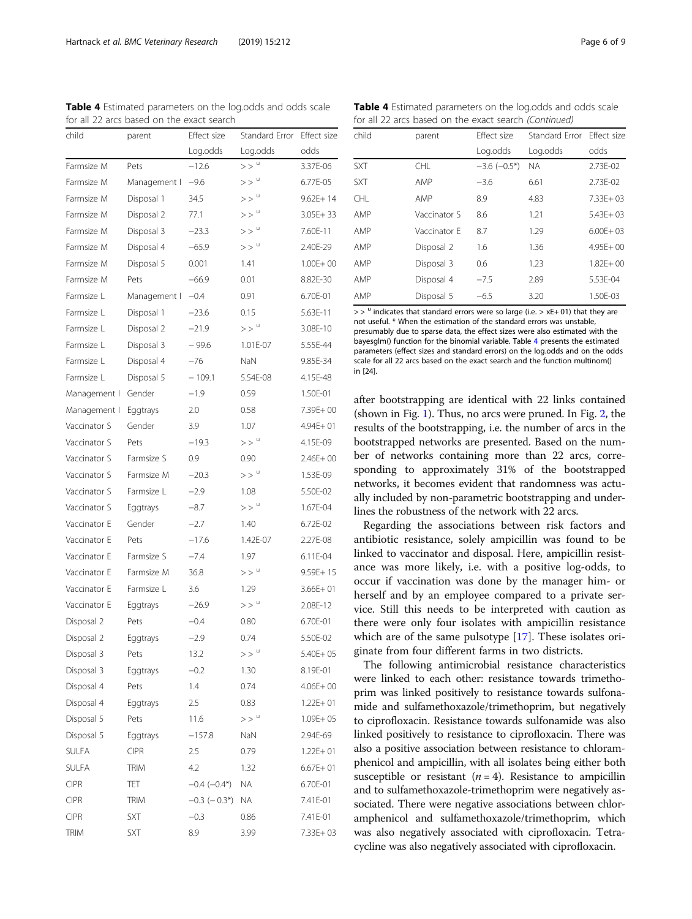<span id="page-5-0"></span>Hartnack et al. BMC Veterinary Research (2019) 15:212 Page 6 of 9

| child        | parent       | Effect size        | Standard Error     | Effect size  |
|--------------|--------------|--------------------|--------------------|--------------|
|              |              | Log.odds           | Log.odds           | odds         |
| Farmsize M   | Pets         | $-12.6$            | >>                 | 3.37E-06     |
| Farmsize M   | Management I | $-9.6$             | $>>$ <sup>u</sup>  | 6.77E-05     |
| Farmsize M   | Disposal 1   | 34.5               | $>>$ <sup>u</sup>  | $9.62E + 14$ |
| Farmsize M   | Disposal 2   | 77.1               | $>>$ $^{\circ}$    | $3.05E + 33$ |
| Farmsize M   | Disposal 3   | $-23.3$            | $>>$ $^{\circ}$    | 7.60E-11     |
| Farmsize M   | Disposal 4   | $-65.9$            | $>>$ <sup>u</sup>  | 2.40E-29     |
| Farmsize M   | Disposal 5   | 0.001              | 1.41               | $1.00E + 00$ |
| Farmsize M   | Pets         | $-66.9$            | 0.01               | 8.82E-30     |
| Farmsize L   | Management I | $-0.4$             | 0.91               | 6.70E-01     |
| Farmsize L   | Disposal 1   | $-23.6$            | 0.15               | 5.63E-11     |
| Farmsize L   | Disposal 2   | $-21.9$            | $>>$ <sup>u</sup>  | 3.08E-10     |
| Farmsize L   | Disposal 3   | $-99.6$            | 1.01E-07           | 5.55E-44     |
| Farmsize L   | Disposal 4   | $-76$              | <b>NaN</b>         | 9.85E-34     |
| Farmsize L   | Disposal 5   | $-109.1$           | 5.54E-08           | 4.15E-48     |
| Management I | Gender       | $-1.9$             | 0.59               | 1.50E-01     |
| Management I | Eggtrays     | 2.0                | 0.58               | 7.39E+00     |
| Vaccinator S | Gender       | 3.9                | 1.07               | $4.94E + 01$ |
| Vaccinator S | Pets         | $-19.3$            | $>>$ <sup>u</sup>  | 4.15E-09     |
| Vaccinator S | Farmsize S   | 0.9                | 0.90               | $2.46F + 00$ |
| Vaccinator S | Farmsize M   | $-20.3$            | $>>$ <sup>u</sup>  | 1.53E-09     |
| Vaccinator S | Farmsize L   | $-2.9$             | 1.08               | 5.50E-02     |
| Vaccinator S | Eggtrays     | $-8.7$             | $>$ $>$ $\degree$  | 1.67E-04     |
| Vaccinator E | Gender       | $-2.7$             | 1.40               | 6.72E-02     |
| Vaccinator E | Pets         | $-17.6$            | 1.42E-07           | 2.27E-08     |
| Vaccinator E | Farmsize S   | $-7.4$             | 1.97               | 6.11E-04     |
| Vaccinator E | Farmsize M   | 36.8               | $>>$ $^{\circ}$    | $9.59E + 15$ |
| Vaccinator F | Farmsize L   | 3.6                | 1.29               | $3.66E + 01$ |
| Vaccinator E | Eggtrays     | $-26.9$            | $>>$ <sup>u</sup>  | 2.08E-12     |
| Disposal 2   | Pets         | $-0.4$             | 0.80               | 6.70E-01     |
| Disposal 2   | Eggtrays     | $-2.9$             | 0.74               | 5.50E-02     |
| Disposal 3   | Pets         | 13.2               | $>$ $>$ $^{\circ}$ | $5.40E + 05$ |
| Disposal 3   | Eggtrays     | $-0.2$             | 1.30               | 8.19E-01     |
| Disposal 4   | Pets         | 1.4                | 0.74               | $4.06E + 00$ |
| Disposal 4   | Eggtrays     | 2.5                | 0.83               | $1.22E + 01$ |
| Disposal 5   | Pets         | 11.6               | $>>$ $^{\circ}$    | $1.09E + 05$ |
| Disposal 5   | Eggtrays     | $-157.8$           | NaN                | 2.94E-69     |
| SULFA        | <b>CIPR</b>  | 2.5                | 0.79               | $1.22E + 01$ |
| SULFA        | <b>TRIM</b>  | 4.2                | 1.32               | $6.67E + 01$ |
| <b>CIPR</b>  | TET          | $-0.4$ $(-0.4*)$   | <b>NA</b>          | 6.70E-01     |
| <b>CIPR</b>  | TRIM         | $-0.3$ ( $-0.3$ *) | ΝA                 | 7.41E-01     |
| <b>CIPR</b>  | SXT          | $-0.3$             | 0.86               | 7.41E-01     |
| <b>TRIM</b>  | SXT          | 8.9                | 3.99               | 7.33E+03     |

Table 4 Estimated parameters on the log.odds and odds scale for all 22 arcs based on the exact search

Table 4 Estimated parameters on the log.odds and odds scale for all 22 arcs based on the exact search (Continued)

| child      | parent       | <b>Fffect size</b>  | Standard Frror | <b>Fffect size</b> |
|------------|--------------|---------------------|----------------|--------------------|
|            |              | Log.odds            | Log.odds       | odds               |
| <b>SXT</b> | <b>CHL</b>   | $-3.6$ ( $-0.5^*$ ) | <b>NA</b>      | 2.73E-02           |
| <b>SXT</b> | AMP          | $-3.6$              | 6.61           | 2.73E-02           |
| CHI.       | AMP          | 8.9                 | 4.83           | $7.33E + 03$       |
| AMP        | Vaccinator S | 8.6                 | 1.21           | $5.43E + 03$       |
| AMP        | Vaccinator F | 8.7                 | 1.29           | $6.00F + 03$       |
| AMP        | Disposal 2   | 1.6                 | 1.36           | $4.95E + 00$       |
| AMP        | Disposal 3   | 0.6                 | 1.23           | $1.82F + 00$       |
| AMP        | Disposal 4   | $-7.5$              | 2.89           | 5.53E-04           |
| AMP        | Disposal 5   | $-6.5$              | 3.20           | 1.50E-03           |

 $>$   $>$  u indicates that standard errors were so large (i.e.  $>$  xE+01) that they are not useful. \* When the estimation of the standard errors was unstable, presumably due to sparse data, the effect sizes were also estimated with the bayesglm() function for the binomial variable. Table 4 presents the estimated parameters (effect sizes and standard errors) on the log.odds and on the odds scale for all 22 arcs based on the exact search and the function multinom() in [24].

after bootstrapping are identical with 22 links contained (shown in Fig. [1\)](#page-6-0). Thus, no arcs were pruned. In Fig. [2](#page-7-0), the results of the bootstrapping, i.e. the number of arcs in the bootstrapped networks are presented. Based on the number of networks containing more than 22 arcs, corresponding to approximately 31% of the bootstrapped networks, it becomes evident that randomness was actually included by non-parametric bootstrapping and underlines the robustness of the network with 22 arcs.

Regarding the associations between risk factors and antibiotic resistance, solely ampicillin was found to be linked to vaccinator and disposal. Here, ampicillin resistance was more likely, i.e. with a positive log-odds, to occur if vaccination was done by the manager him- or herself and by an employee compared to a private service. Still this needs to be interpreted with caution as there were only four isolates with ampicillin resistance which are of the same pulsotype [[17\]](#page-8-0). These isolates originate from four different farms in two districts.

The following antimicrobial resistance characteristics were linked to each other: resistance towards trimethoprim was linked positively to resistance towards sulfonamide and sulfamethoxazole/trimethoprim, but negatively to ciprofloxacin. Resistance towards sulfonamide was also linked positively to resistance to ciprofloxacin. There was also a positive association between resistance to chloramphenicol and ampicillin, with all isolates being either both susceptible or resistant  $(n = 4)$ . Resistance to ampicillin and to sulfamethoxazole-trimethoprim were negatively associated. There were negative associations between chloramphenicol and sulfamethoxazole/trimethoprim, which was also negatively associated with ciprofloxacin. Tetracycline was also negatively associated with ciprofloxacin.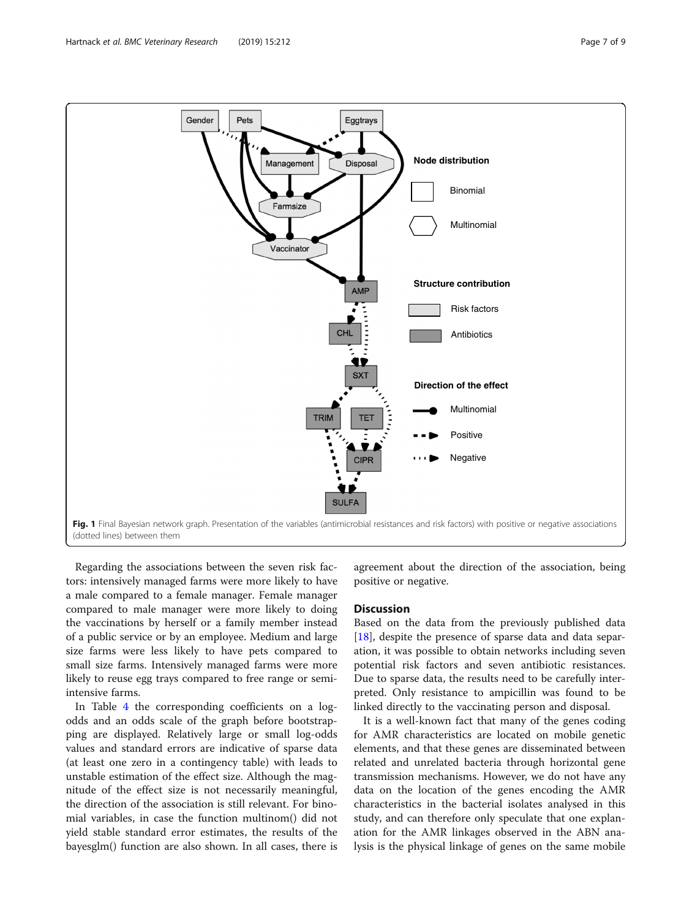<span id="page-6-0"></span>

Regarding the associations between the seven risk factors: intensively managed farms were more likely to have a male compared to a female manager. Female manager compared to male manager were more likely to doing the vaccinations by herself or a family member instead of a public service or by an employee. Medium and large size farms were less likely to have pets compared to small size farms. Intensively managed farms were more likely to reuse egg trays compared to free range or semiintensive farms.

In Table [4](#page-5-0) the corresponding coefficients on a logodds and an odds scale of the graph before bootstrapping are displayed. Relatively large or small log-odds values and standard errors are indicative of sparse data (at least one zero in a contingency table) with leads to unstable estimation of the effect size. Although the magnitude of the effect size is not necessarily meaningful, the direction of the association is still relevant. For binomial variables, in case the function multinom() did not yield stable standard error estimates, the results of the bayesglm() function are also shown. In all cases, there is

agreement about the direction of the association, being positive or negative.

## **Discussion**

Based on the data from the previously published data [[18\]](#page-8-0), despite the presence of sparse data and data separation, it was possible to obtain networks including seven potential risk factors and seven antibiotic resistances. Due to sparse data, the results need to be carefully interpreted. Only resistance to ampicillin was found to be linked directly to the vaccinating person and disposal.

It is a well-known fact that many of the genes coding for AMR characteristics are located on mobile genetic elements, and that these genes are disseminated between related and unrelated bacteria through horizontal gene transmission mechanisms. However, we do not have any data on the location of the genes encoding the AMR characteristics in the bacterial isolates analysed in this study, and can therefore only speculate that one explanation for the AMR linkages observed in the ABN analysis is the physical linkage of genes on the same mobile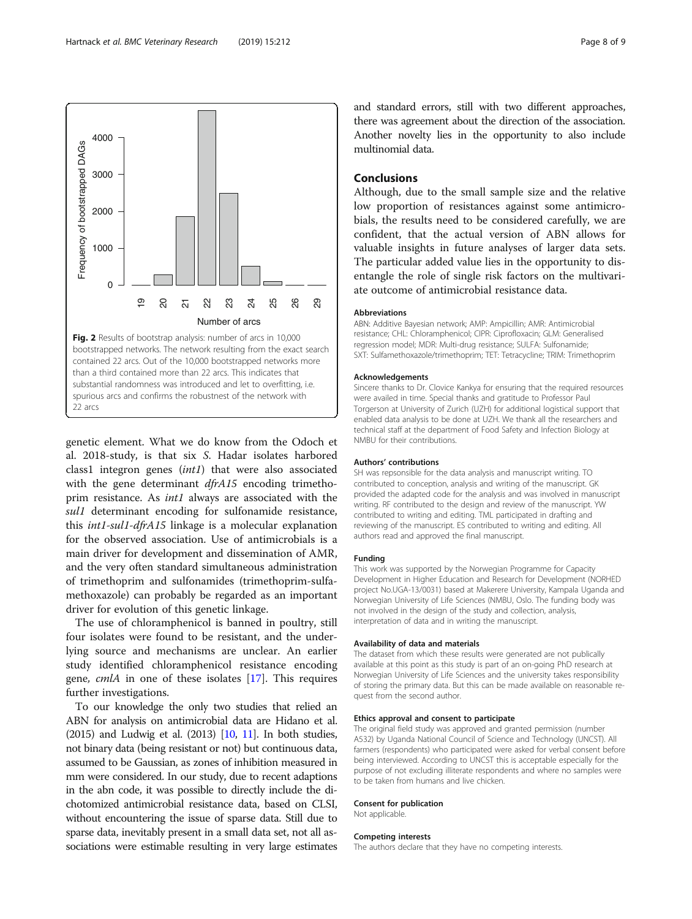<span id="page-7-0"></span>

genetic element. What we do know from the Odoch et al. 2018-study, is that six S. Hadar isolates harbored class1 integron genes (int1) that were also associated with the gene determinant *dfrA15* encoding trimethoprim resistance. As int1 always are associated with the sul1 determinant encoding for sulfonamide resistance, this int1-sul1-dfrA15 linkage is a molecular explanation for the observed association. Use of antimicrobials is a main driver for development and dissemination of AMR, and the very often standard simultaneous administration of trimethoprim and sulfonamides (trimethoprim-sulfamethoxazole) can probably be regarded as an important driver for evolution of this genetic linkage.

The use of chloramphenicol is banned in poultry, still four isolates were found to be resistant, and the underlying source and mechanisms are unclear. An earlier study identified chloramphenicol resistance encoding gene, cmlA in one of these isolates [\[17](#page-8-0)]. This requires further investigations.

To our knowledge the only two studies that relied an ABN for analysis on antimicrobial data are Hidano et al. (2015) and Ludwig et al. (2013) [\[10](#page-8-0), [11\]](#page-8-0). In both studies, not binary data (being resistant or not) but continuous data, assumed to be Gaussian, as zones of inhibition measured in mm were considered. In our study, due to recent adaptions in the abn code, it was possible to directly include the dichotomized antimicrobial resistance data, based on CLSI, without encountering the issue of sparse data. Still due to sparse data, inevitably present in a small data set, not all associations were estimable resulting in very large estimates

and standard errors, still with two different approaches, there was agreement about the direction of the association. Another novelty lies in the opportunity to also include multinomial data.

## Conclusions

Although, due to the small sample size and the relative low proportion of resistances against some antimicrobials, the results need to be considered carefully, we are confident, that the actual version of ABN allows for valuable insights in future analyses of larger data sets. The particular added value lies in the opportunity to disentangle the role of single risk factors on the multivariate outcome of antimicrobial resistance data.

#### Abbreviations

ABN: Additive Bayesian network; AMP: Ampicillin; AMR: Antimicrobial resistance; CHL: Chloramphenicol; CIPR: Ciprofloxacin; GLM: Generalised regression model; MDR: Multi-drug resistance; SULFA: Sulfonamide; SXT: Sulfamethoxazole/trimethoprim; TET: Tetracycline; TRIM: Trimethoprim

#### Acknowledgements

Sincere thanks to Dr. Clovice Kankya for ensuring that the required resources were availed in time. Special thanks and gratitude to Professor Paul Torgerson at University of Zurich (UZH) for additional logistical support that enabled data analysis to be done at UZH. We thank all the researchers and technical staff at the department of Food Safety and Infection Biology at NMBU for their contributions.

#### Authors' contributions

SH was repsonsible for the data analysis and manuscript writing. TO contributed to conception, analysis and writing of the manuscript. GK provided the adapted code for the analysis and was involved in manuscript writing. RF contributed to the design and review of the manuscript. YW contributed to writing and editing. TML participated in drafting and reviewing of the manuscript. ES contributed to writing and editing. All authors read and approved the final manuscript.

#### Funding

This work was supported by the Norwegian Programme for Capacity Development in Higher Education and Research for Development (NORHED project No.UGA-13/0031) based at Makerere University, Kampala Uganda and Norwegian University of Life Sciences (NMBU, Oslo. The funding body was not involved in the design of the study and collection, analysis, interpretation of data and in writing the manuscript.

#### Availability of data and materials

The dataset from which these results were generated are not publically available at this point as this study is part of an on-going PhD research at Norwegian University of Life Sciences and the university takes responsibility of storing the primary data. But this can be made available on reasonable request from the second author.

#### Ethics approval and consent to participate

The original field study was approved and granted permission (number A532) by Uganda National Council of Science and Technology (UNCST). All farmers (respondents) who participated were asked for verbal consent before being interviewed. According to UNCST this is acceptable especially for the purpose of not excluding illiterate respondents and where no samples were to be taken from humans and live chicken.

#### Consent for publication

Not applicable.

## Competing interests

The authors declare that they have no competing interests.